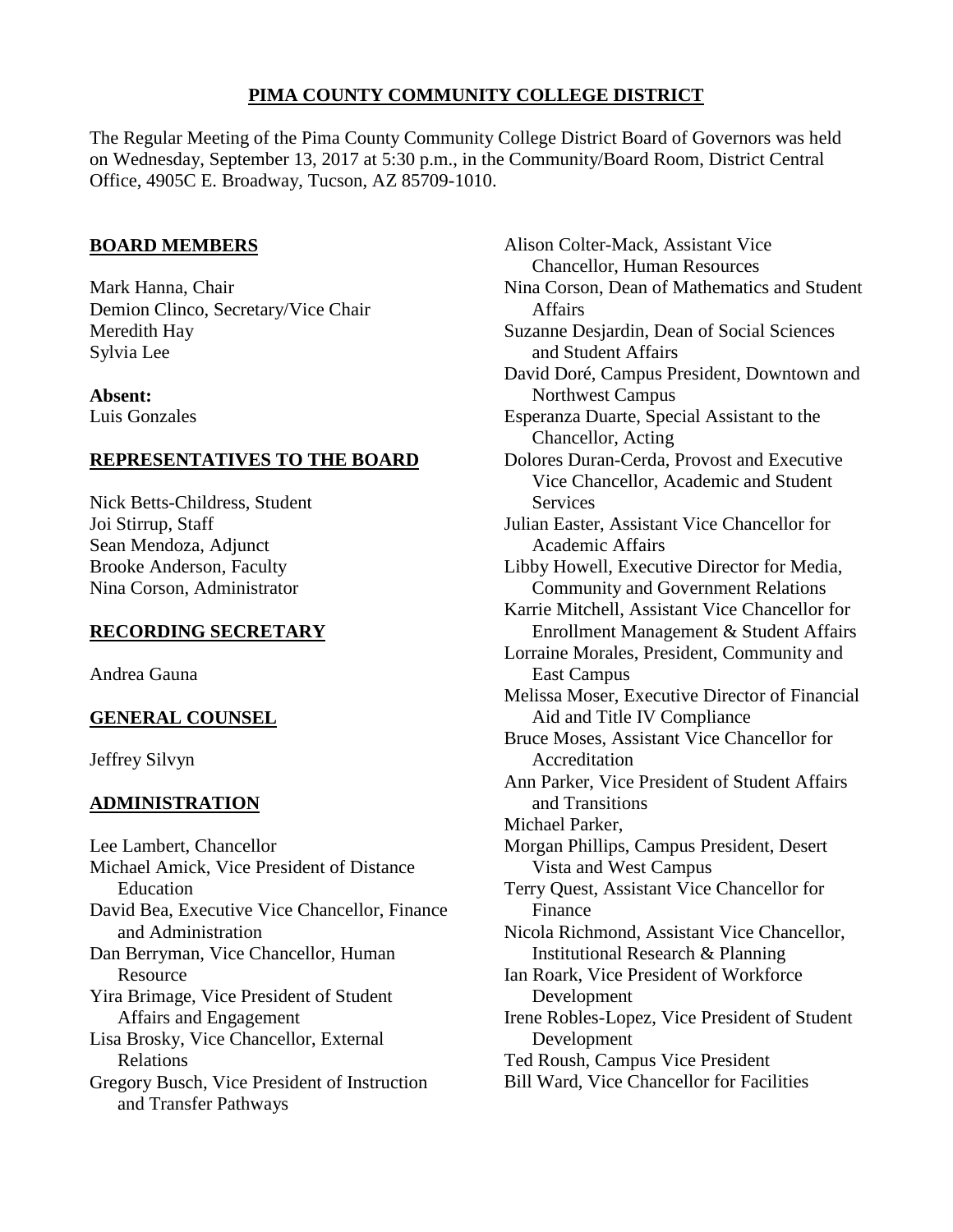# **PIMA COUNTY COMMUNITY COLLEGE DISTRICT**

The Regular Meeting of the Pima County Community College District Board of Governors was held on Wednesday, September 13, 2017 at 5:30 p.m., in the Community/Board Room, District Central Office, 4905C E. Broadway, Tucson, AZ 85709-1010.

# **BOARD MEMBERS**

Mark Hanna, Chair Demion Clinco, Secretary/Vice Chair Meredith Hay Sylvia Lee

**Absent:** Luis Gonzales

## **REPRESENTATIVES TO THE BOARD**

Nick Betts-Childress, Student Joi Stirrup, Staff Sean Mendoza, Adjunct Brooke Anderson, Faculty Nina Corson, Administrator

# **RECORDING SECRETARY**

Andrea Gauna

# **GENERAL COUNSEL**

Jeffrey Silvyn

# **ADMINISTRATION**

Lee Lambert, Chancellor Michael Amick, Vice President of Distance Education David Bea, Executive Vice Chancellor, Finance and Administration Dan Berryman, Vice Chancellor, Human Resource Yira Brimage, Vice President of Student Affairs and Engagement Lisa Brosky, Vice Chancellor, External Relations Gregory Busch, Vice President of Instruction and Transfer Pathways

Alison Colter-Mack, Assistant Vice Chancellor, Human Resources Nina Corson, Dean of Mathematics and Student Affairs Suzanne Desjardin, Dean of Social Sciences and Student Affairs David Doré, Campus President, Downtown and Northwest Campus Esperanza Duarte, Special Assistant to the Chancellor, Acting Dolores Duran-Cerda, Provost and Executive Vice Chancellor, Academic and Student **Services** Julian Easter, Assistant Vice Chancellor for Academic Affairs Libby Howell, Executive Director for Media, Community and Government Relations Karrie Mitchell, Assistant Vice Chancellor for Enrollment Management & Student Affairs Lorraine Morales, President, Community and East Campus Melissa Moser, Executive Director of Financial Aid and Title IV Compliance Bruce Moses, Assistant Vice Chancellor for Accreditation Ann Parker, Vice President of Student Affairs and Transitions Michael Parker, Morgan Phillips, Campus President, Desert Vista and West Campus Terry Quest, Assistant Vice Chancellor for Finance Nicola Richmond, Assistant Vice Chancellor, Institutional Research & Planning Ian Roark, Vice President of Workforce Development Irene Robles-Lopez, Vice President of Student Development Ted Roush, Campus Vice President Bill Ward, Vice Chancellor for Facilities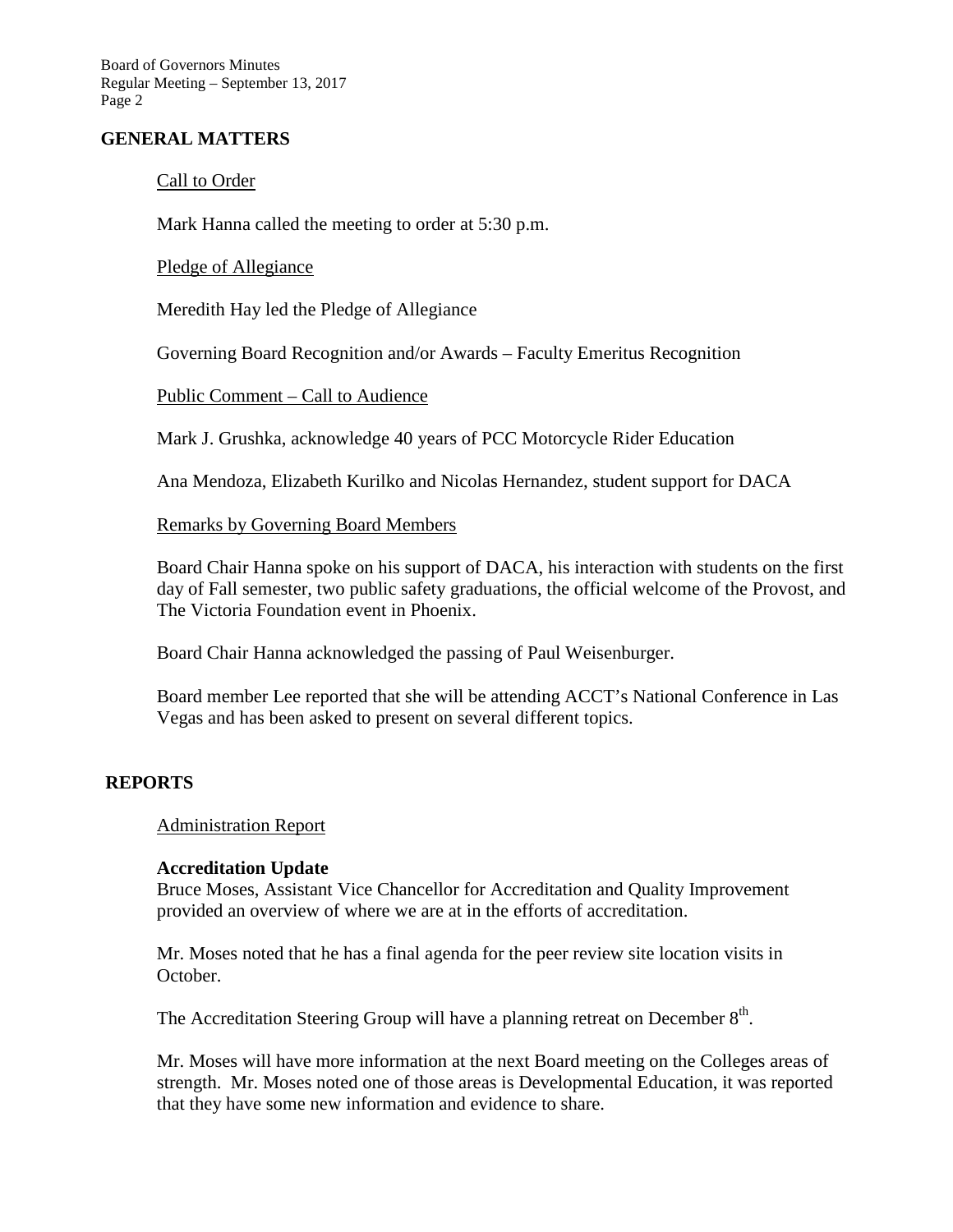## **GENERAL MATTERS**

## Call to Order

Mark Hanna called the meeting to order at 5:30 p.m.

## Pledge of Allegiance

Meredith Hay led the Pledge of Allegiance

Governing Board Recognition and/or Awards – Faculty Emeritus Recognition

## Public Comment – Call to Audience

Mark J. Grushka, acknowledge 40 years of PCC Motorcycle Rider Education

Ana Mendoza, Elizabeth Kurilko and Nicolas Hernandez, student support for DACA

## Remarks by Governing Board Members

Board Chair Hanna spoke on his support of DACA, his interaction with students on the first day of Fall semester, two public safety graduations, the official welcome of the Provost, and The Victoria Foundation event in Phoenix.

Board Chair Hanna acknowledged the passing of Paul Weisenburger.

Board member Lee reported that she will be attending ACCT's National Conference in Las Vegas and has been asked to present on several different topics.

## **REPORTS**

Administration Report

### **Accreditation Update**

Bruce Moses, Assistant Vice Chancellor for Accreditation and Quality Improvement provided an overview of where we are at in the efforts of accreditation.

Mr. Moses noted that he has a final agenda for the peer review site location visits in October.

The Accreditation Steering Group will have a planning retreat on December  $8<sup>th</sup>$ .

Mr. Moses will have more information at the next Board meeting on the Colleges areas of strength. Mr. Moses noted one of those areas is Developmental Education, it was reported that they have some new information and evidence to share.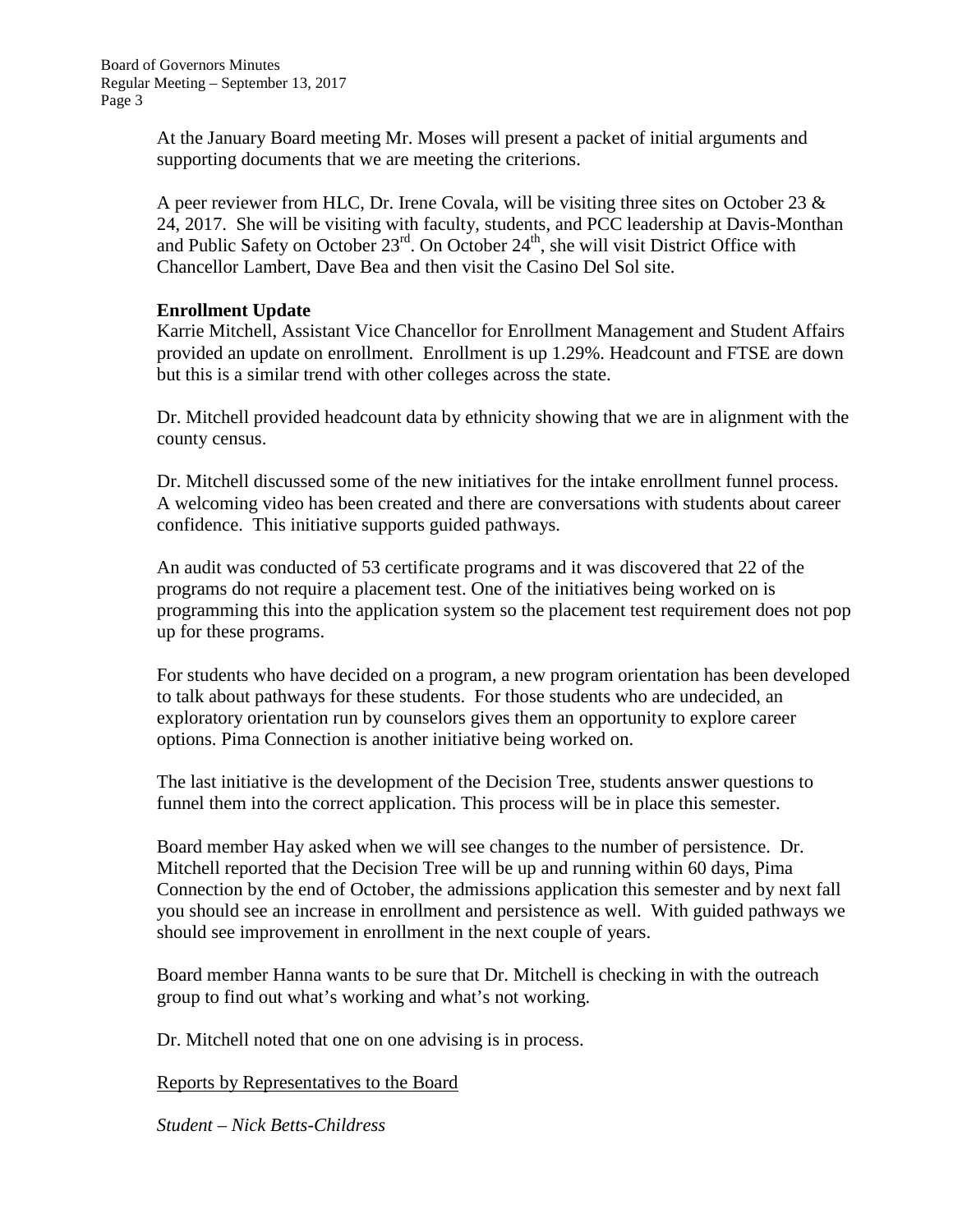At the January Board meeting Mr. Moses will present a packet of initial arguments and supporting documents that we are meeting the criterions.

A peer reviewer from HLC, Dr. Irene Covala, will be visiting three sites on October 23  $\&$ 24, 2017. She will be visiting with faculty, students, and PCC leadership at Davis-Monthan and Public Safety on October  $23^{rd}$ . On October  $24^{th}$ , she will visit District Office with Chancellor Lambert, Dave Bea and then visit the Casino Del Sol site.

## **Enrollment Update**

Karrie Mitchell, Assistant Vice Chancellor for Enrollment Management and Student Affairs provided an update on enrollment. Enrollment is up 1.29%. Headcount and FTSE are down but this is a similar trend with other colleges across the state.

Dr. Mitchell provided headcount data by ethnicity showing that we are in alignment with the county census.

Dr. Mitchell discussed some of the new initiatives for the intake enrollment funnel process. A welcoming video has been created and there are conversations with students about career confidence. This initiative supports guided pathways.

An audit was conducted of 53 certificate programs and it was discovered that 22 of the programs do not require a placement test. One of the initiatives being worked on is programming this into the application system so the placement test requirement does not pop up for these programs.

For students who have decided on a program, a new program orientation has been developed to talk about pathways for these students. For those students who are undecided, an exploratory orientation run by counselors gives them an opportunity to explore career options. Pima Connection is another initiative being worked on.

The last initiative is the development of the Decision Tree, students answer questions to funnel them into the correct application. This process will be in place this semester.

Board member Hay asked when we will see changes to the number of persistence. Dr. Mitchell reported that the Decision Tree will be up and running within 60 days, Pima Connection by the end of October, the admissions application this semester and by next fall you should see an increase in enrollment and persistence as well. With guided pathways we should see improvement in enrollment in the next couple of years.

Board member Hanna wants to be sure that Dr. Mitchell is checking in with the outreach group to find out what's working and what's not working.

Dr. Mitchell noted that one on one advising is in process.

Reports by Representatives to the Board

*Student – Nick Betts-Childress*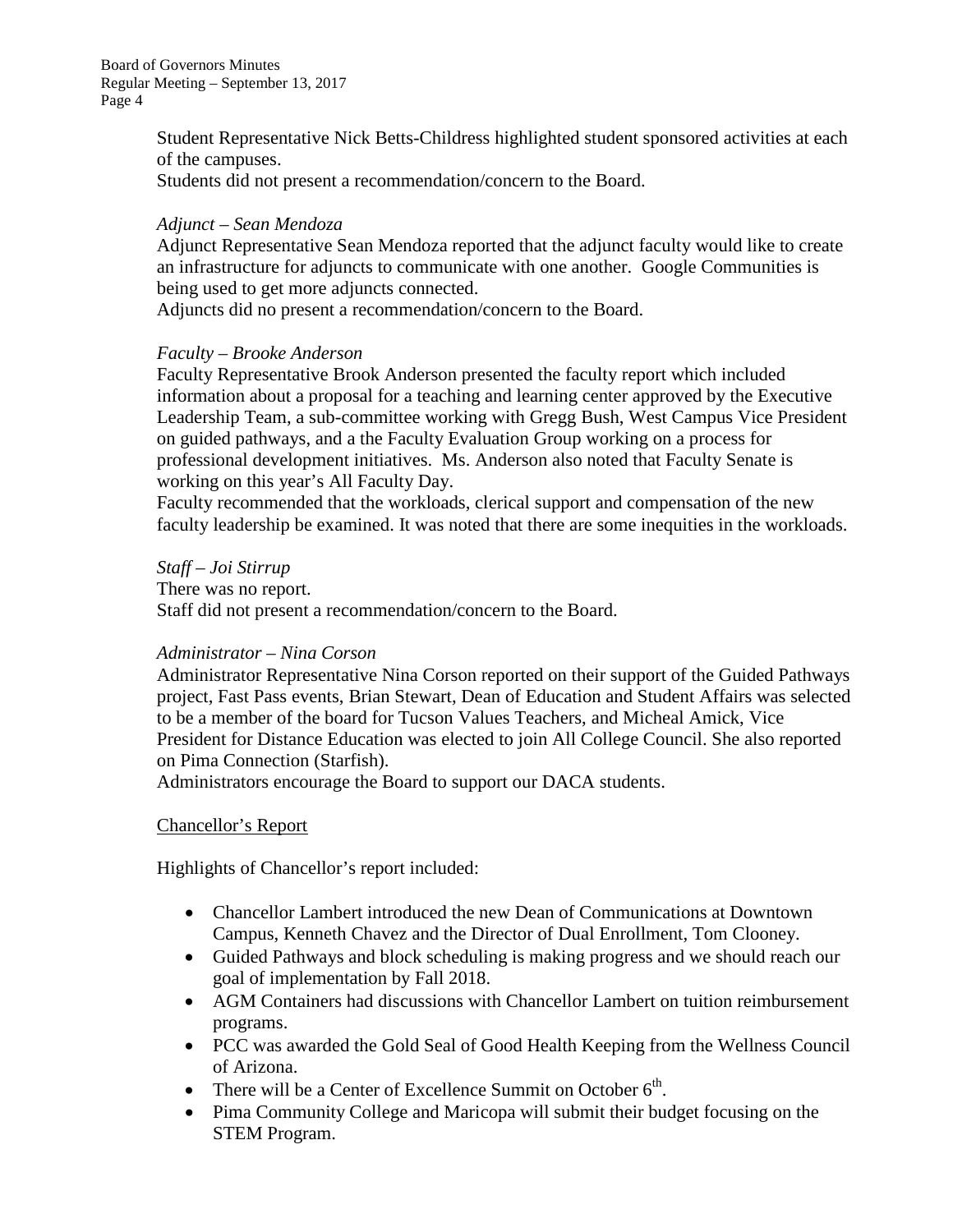> Student Representative Nick Betts-Childress highlighted student sponsored activities at each of the campuses.

Students did not present a recommendation/concern to the Board.

# *Adjunct – Sean Mendoza*

Adjunct Representative Sean Mendoza reported that the adjunct faculty would like to create an infrastructure for adjuncts to communicate with one another. Google Communities is being used to get more adjuncts connected.

Adjuncts did no present a recommendation/concern to the Board.

## *Faculty – Brooke Anderson*

Faculty Representative Brook Anderson presented the faculty report which included information about a proposal for a teaching and learning center approved by the Executive Leadership Team, a sub-committee working with Gregg Bush, West Campus Vice President on guided pathways, and a the Faculty Evaluation Group working on a process for professional development initiatives. Ms. Anderson also noted that Faculty Senate is working on this year's All Faculty Day.

Faculty recommended that the workloads, clerical support and compensation of the new faculty leadership be examined. It was noted that there are some inequities in the workloads.

*Staff – Joi Stirrup*

There was no report. Staff did not present a recommendation/concern to the Board.

## *Administrator – Nina Corson*

Administrator Representative Nina Corson reported on their support of the Guided Pathways project, Fast Pass events, Brian Stewart, Dean of Education and Student Affairs was selected to be a member of the board for Tucson Values Teachers, and Micheal Amick, Vice President for Distance Education was elected to join All College Council. She also reported on Pima Connection (Starfish).

Administrators encourage the Board to support our DACA students.

## Chancellor's Report

Highlights of Chancellor's report included:

- Chancellor Lambert introduced the new Dean of Communications at Downtown Campus, Kenneth Chavez and the Director of Dual Enrollment, Tom Clooney.
- Guided Pathways and block scheduling is making progress and we should reach our goal of implementation by Fall 2018.
- AGM Containers had discussions with Chancellor Lambert on tuition reimbursement programs.
- PCC was awarded the Gold Seal of Good Health Keeping from the Wellness Council of Arizona.
- There will be a Center of Excellence Summit on October  $6<sup>th</sup>$ .
- Pima Community College and Maricopa will submit their budget focusing on the STEM Program.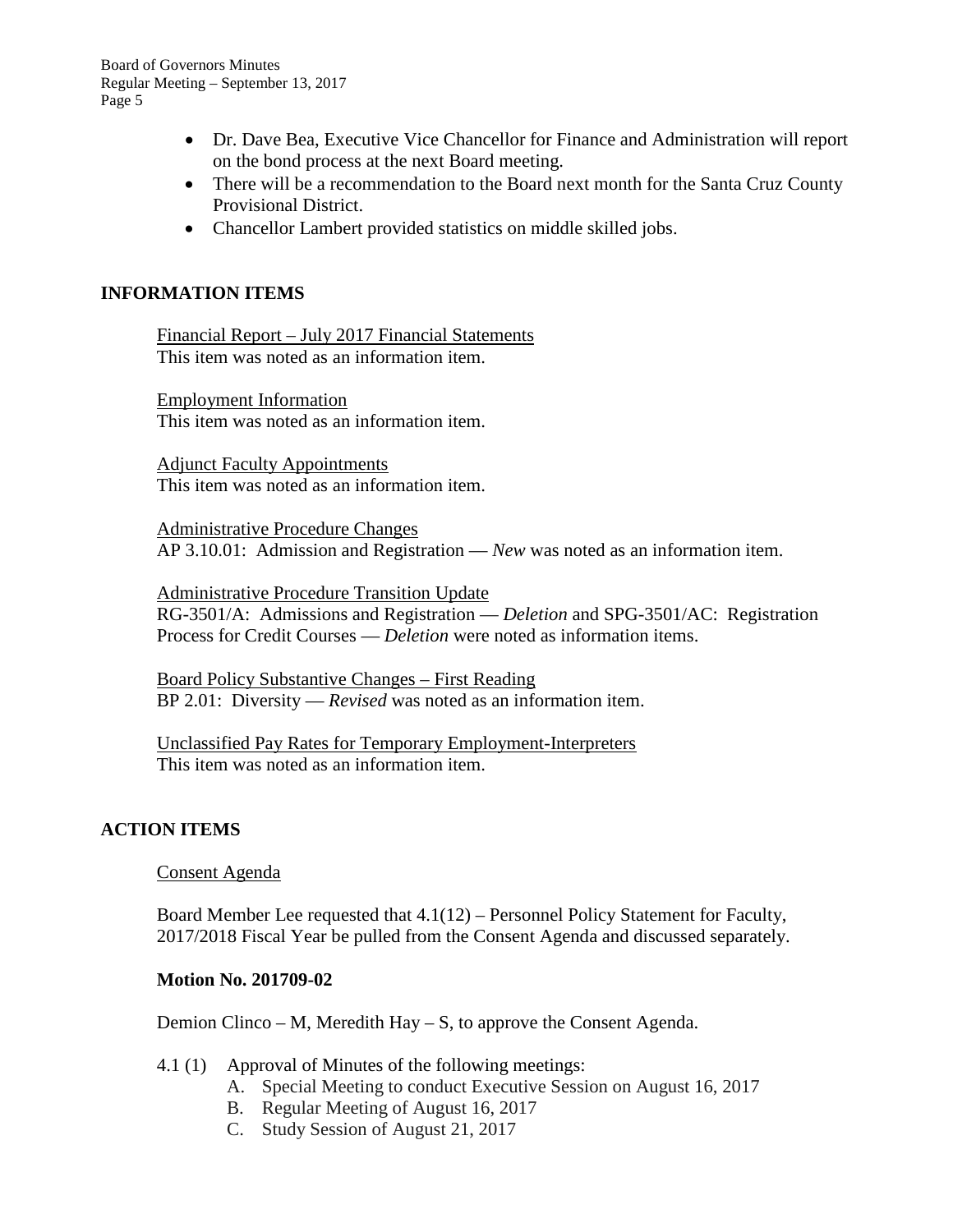- Dr. Dave Bea, Executive Vice Chancellor for Finance and Administration will report on the bond process at the next Board meeting.
- There will be a recommendation to the Board next month for the Santa Cruz County Provisional District.
- Chancellor Lambert provided statistics on middle skilled jobs.

# **INFORMATION ITEMS**

Financial Report – July 2017 Financial Statements This item was noted as an information item.

Employment Information This item was noted as an information item.

Adjunct Faculty Appointments This item was noted as an information item.

Administrative Procedure Changes AP 3.10.01: Admission and Registration — *New* was noted as an information item.

Administrative Procedure Transition Update RG-3501/A: Admissions and Registration — *Deletion* and SPG-3501/AC: Registration Process for Credit Courses — *Deletion* were noted as information items.

Board Policy Substantive Changes – First Reading BP 2.01: Diversity — *Revised* was noted as an information item.

Unclassified Pay Rates for Temporary Employment-Interpreters This item was noted as an information item.

## **ACTION ITEMS**

Consent Agenda

Board Member Lee requested that 4.1(12) – Personnel Policy Statement for Faculty, 2017/2018 Fiscal Year be pulled from the Consent Agenda and discussed separately.

## **Motion No. 201709-02**

Demion Clinco – M, Meredith Hay – S, to approve the Consent Agenda.

- 4.1 (1) Approval of Minutes of the following meetings:
	- A. Special Meeting to conduct Executive Session on August 16, 2017
	- B. Regular Meeting of August 16, 2017
	- C. Study Session of August 21, 2017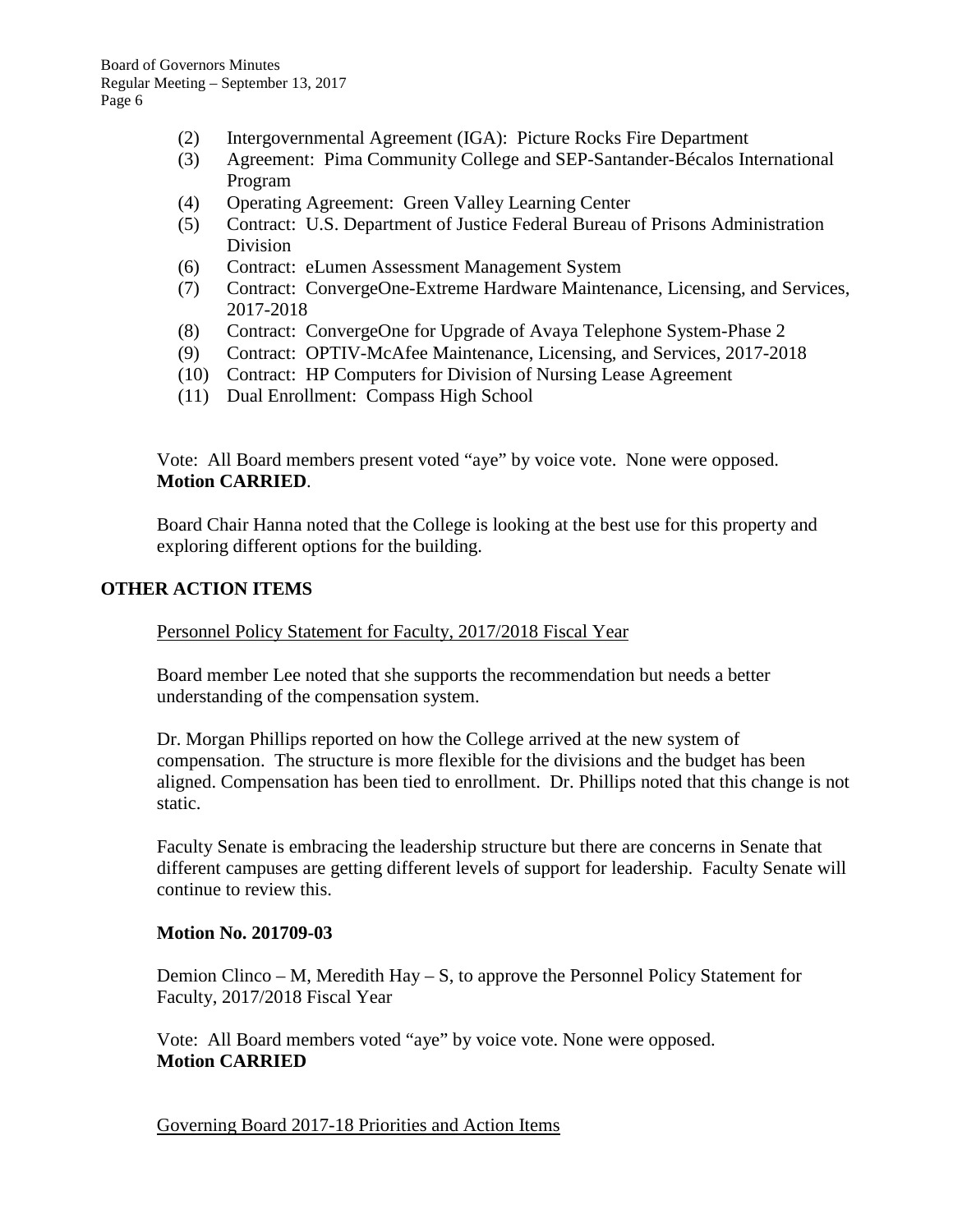- (2) Intergovernmental Agreement (IGA): Picture Rocks Fire Department
- (3) Agreement: Pima Community College and SEP-Santander-Bécalos International Program
- (4) Operating Agreement: Green Valley Learning Center
- (5) Contract: U.S. Department of Justice Federal Bureau of Prisons Administration Division
- (6) Contract: eLumen Assessment Management System
- (7) Contract: ConvergeOne-Extreme Hardware Maintenance, Licensing, and Services, 2017-2018
- (8) Contract: ConvergeOne for Upgrade of Avaya Telephone System-Phase 2
- (9) Contract: OPTIV-McAfee Maintenance, Licensing, and Services, 2017-2018
- (10) Contract: HP Computers for Division of Nursing Lease Agreement
- (11) Dual Enrollment: Compass High School

Vote: All Board members present voted "aye" by voice vote. None were opposed. **Motion CARRIED**.

Board Chair Hanna noted that the College is looking at the best use for this property and exploring different options for the building.

## **OTHER ACTION ITEMS**

### Personnel Policy Statement for Faculty, 2017/2018 Fiscal Year

Board member Lee noted that she supports the recommendation but needs a better understanding of the compensation system.

Dr. Morgan Phillips reported on how the College arrived at the new system of compensation. The structure is more flexible for the divisions and the budget has been aligned. Compensation has been tied to enrollment. Dr. Phillips noted that this change is not static.

Faculty Senate is embracing the leadership structure but there are concerns in Senate that different campuses are getting different levels of support for leadership. Faculty Senate will continue to review this.

### **Motion No. 201709-03**

Demion Clinco – M, Meredith Hay – S, to approve the Personnel Policy Statement for Faculty, 2017/2018 Fiscal Year

Vote: All Board members voted "aye" by voice vote. None were opposed. **Motion CARRIED**

Governing Board 2017-18 Priorities and Action Items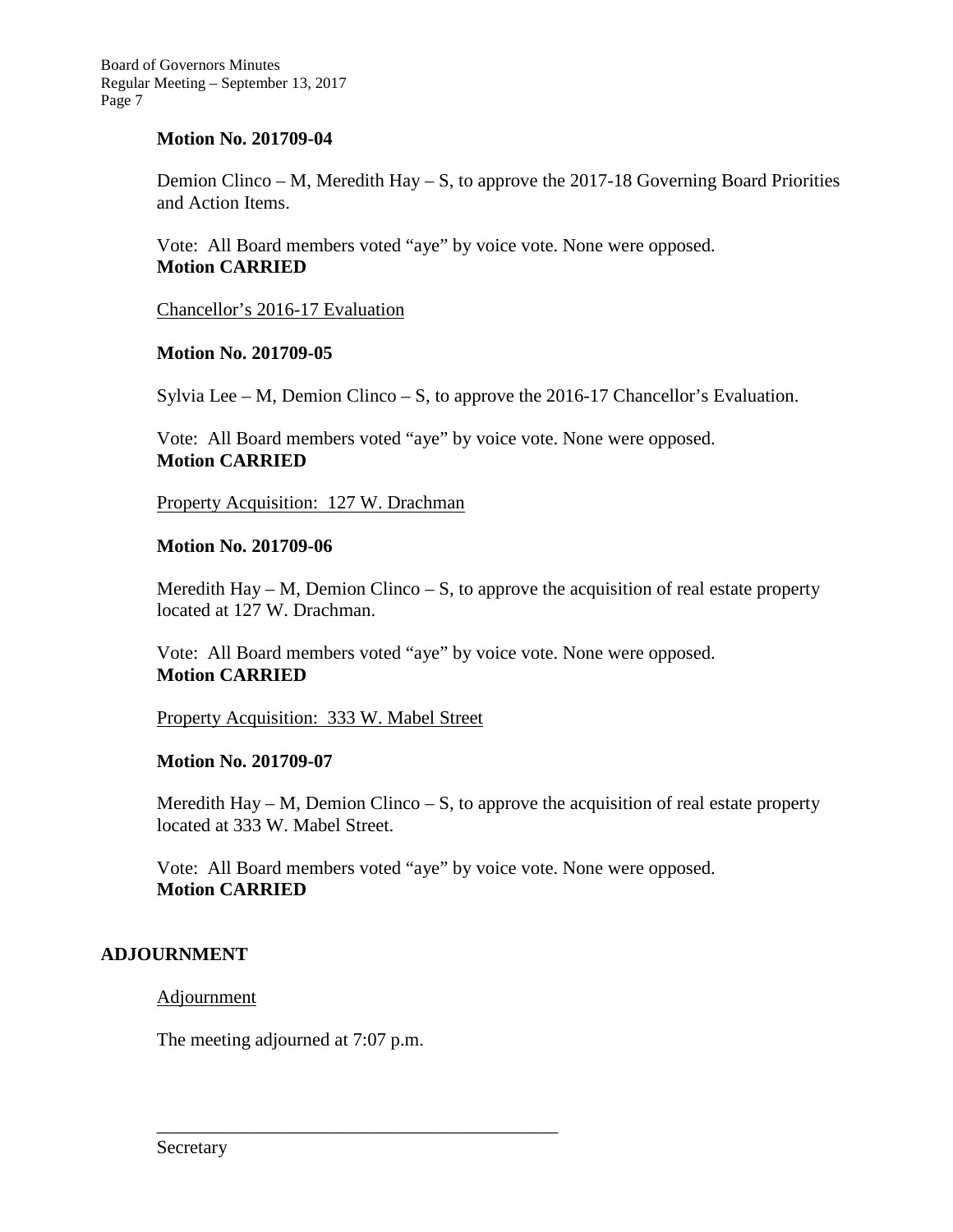## **Motion No. 201709-04**

Demion Clinco – M, Meredith Hay – S, to approve the 2017-18 Governing Board Priorities and Action Items.

Vote: All Board members voted "aye" by voice vote. None were opposed. **Motion CARRIED**

Chancellor's 2016-17 Evaluation

## **Motion No. 201709-05**

Sylvia Lee – M, Demion Clinco – S, to approve the 2016-17 Chancellor's Evaluation.

Vote: All Board members voted "aye" by voice vote. None were opposed. **Motion CARRIED**

Property Acquisition: 127 W. Drachman

## **Motion No. 201709-06**

Meredith Hay – M, Demion Clinco – S, to approve the acquisition of real estate property located at 127 W. Drachman.

Vote: All Board members voted "aye" by voice vote. None were opposed. **Motion CARRIED**

Property Acquisition: 333 W. Mabel Street

### **Motion No. 201709-07**

Meredith Hay – M, Demion Clinco – S, to approve the acquisition of real estate property located at 333 W. Mabel Street.

Vote: All Board members voted "aye" by voice vote. None were opposed. **Motion CARRIED**

## **ADJOURNMENT**

Adjournment

The meeting adjourned at 7:07 p.m.

\_\_\_\_\_\_\_\_\_\_\_\_\_\_\_\_\_\_\_\_\_\_\_\_\_\_\_\_\_\_\_\_\_\_\_\_\_\_\_\_\_\_\_